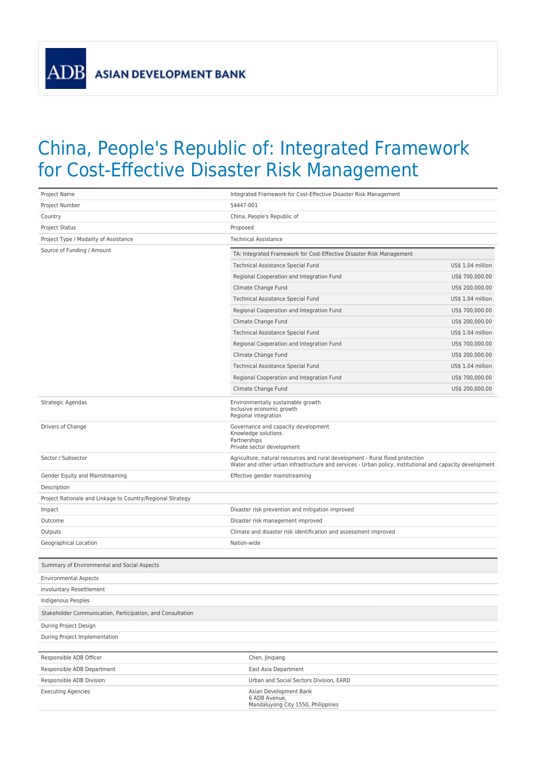**ADB** 

## China, People's Republic of: Integrated Framework for Cost-Effective Disaster Risk Management

| Project Name                                               | Integrated Framework for Cost-Effective Disaster Risk Management                                                                                                                          |                   |
|------------------------------------------------------------|-------------------------------------------------------------------------------------------------------------------------------------------------------------------------------------------|-------------------|
| Project Number                                             | 54447-001                                                                                                                                                                                 |                   |
| Country                                                    | China, People's Republic of                                                                                                                                                               |                   |
| Project Status                                             | Proposed                                                                                                                                                                                  |                   |
| Project Type / Modality of Assistance                      | <b>Technical Assistance</b>                                                                                                                                                               |                   |
| Source of Funding / Amount                                 | TA: Integrated Framework for Cost-Effective Disaster Risk Management                                                                                                                      |                   |
|                                                            | Technical Assistance Special Fund                                                                                                                                                         | US\$ 1.04 million |
|                                                            | Regional Cooperation and Integration Fund                                                                                                                                                 | US\$ 700,000.00   |
|                                                            | Climate Change Fund                                                                                                                                                                       | US\$ 200,000.00   |
|                                                            | Technical Assistance Special Fund                                                                                                                                                         | US\$ 1.04 million |
|                                                            | Regional Cooperation and Integration Fund                                                                                                                                                 | US\$ 700,000.00   |
|                                                            | Climate Change Fund                                                                                                                                                                       | US\$ 200,000.00   |
|                                                            | Technical Assistance Special Fund                                                                                                                                                         | US\$ 1.04 million |
|                                                            | Regional Cooperation and Integration Fund                                                                                                                                                 | US\$ 700,000.00   |
|                                                            | Climate Change Fund                                                                                                                                                                       | US\$ 200,000.00   |
|                                                            | Technical Assistance Special Fund                                                                                                                                                         | US\$ 1.04 million |
|                                                            | Regional Cooperation and Integration Fund                                                                                                                                                 | US\$ 700,000.00   |
|                                                            | Climate Change Fund                                                                                                                                                                       | US\$ 200,000.00   |
| Strategic Agendas                                          | Environmentally sustainable growth<br>Inclusive economic growth<br>Regional integration                                                                                                   |                   |
| Drivers of Change                                          | Governance and capacity development<br>Knowledge solutions<br>Partnerships<br>Private sector development                                                                                  |                   |
| Sector / Subsector                                         | Agriculture, natural resources and rural development - Rural flood protection<br>Water and other urban infrastructure and services - Urban policy, institutional and capacity development |                   |
| Gender Equity and Mainstreaming                            | Effective gender mainstreaming                                                                                                                                                            |                   |
| Description                                                |                                                                                                                                                                                           |                   |
| Project Rationale and Linkage to Country/Regional Strategy |                                                                                                                                                                                           |                   |
| Impact                                                     | Disaster risk prevention and mitigation improved                                                                                                                                          |                   |
| Outcome                                                    | Disaster risk management improved                                                                                                                                                         |                   |
| Outputs                                                    | Climate and disaster risk identification and assessment improved                                                                                                                          |                   |
| Geographical Location                                      | Nation-wide                                                                                                                                                                               |                   |
| Summary of Environmental and Social Aspects                |                                                                                                                                                                                           |                   |
| <b>Environmental Aspects</b>                               |                                                                                                                                                                                           |                   |
| Involuntary Resettlement                                   |                                                                                                                                                                                           |                   |
| Indigenous Peoples                                         |                                                                                                                                                                                           |                   |
| Stakeholder Communication, Participation, and Consultation |                                                                                                                                                                                           |                   |
| During Project Design                                      |                                                                                                                                                                                           |                   |
| During Project Implementation                              |                                                                                                                                                                                           |                   |
|                                                            |                                                                                                                                                                                           |                   |
| Responsible ADB Officer                                    | Chen, Jingiang                                                                                                                                                                            |                   |
| Responsible ADB Department                                 | East Asia Department                                                                                                                                                                      |                   |
| Responsible ADB Division                                   | Urban and Social Sectors Division, EARD                                                                                                                                                   |                   |
| <b>Executing Agencies</b>                                  | Asian Development Bank<br>6 ADB Avenue,<br>Mandaluyong City 1550, Philippines                                                                                                             |                   |